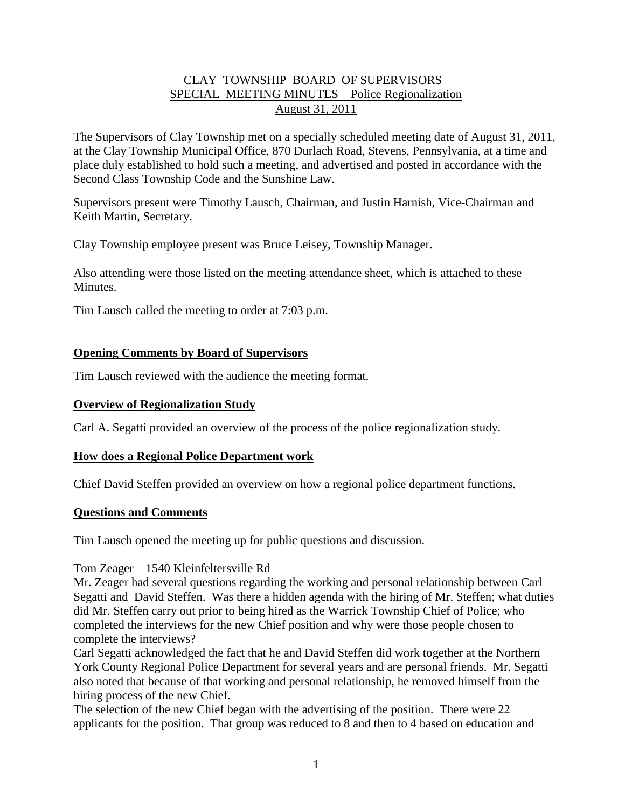# CLAY TOWNSHIP BOARD OF SUPERVISORS SPECIAL MEETING MINUTES – Police Regionalization August 31, 2011

The Supervisors of Clay Township met on a specially scheduled meeting date of August 31, 2011, at the Clay Township Municipal Office, 870 Durlach Road, Stevens, Pennsylvania, at a time and place duly established to hold such a meeting, and advertised and posted in accordance with the Second Class Township Code and the Sunshine Law.

Supervisors present were Timothy Lausch, Chairman, and Justin Harnish, Vice-Chairman and Keith Martin, Secretary.

Clay Township employee present was Bruce Leisey, Township Manager.

Also attending were those listed on the meeting attendance sheet, which is attached to these **Minutes**.

Tim Lausch called the meeting to order at 7:03 p.m.

# **Opening Comments by Board of Supervisors**

Tim Lausch reviewed with the audience the meeting format.

# **Overview of Regionalization Study**

Carl A. Segatti provided an overview of the process of the police regionalization study.

# **How does a Regional Police Department work**

Chief David Steffen provided an overview on how a regional police department functions.

# **Questions and Comments**

Tim Lausch opened the meeting up for public questions and discussion.

# Tom Zeager – 1540 Kleinfeltersville Rd

Mr. Zeager had several questions regarding the working and personal relationship between Carl Segatti and David Steffen. Was there a hidden agenda with the hiring of Mr. Steffen; what duties did Mr. Steffen carry out prior to being hired as the Warrick Township Chief of Police; who completed the interviews for the new Chief position and why were those people chosen to complete the interviews?

Carl Segatti acknowledged the fact that he and David Steffen did work together at the Northern York County Regional Police Department for several years and are personal friends. Mr. Segatti also noted that because of that working and personal relationship, he removed himself from the hiring process of the new Chief.

The selection of the new Chief began with the advertising of the position. There were 22 applicants for the position. That group was reduced to 8 and then to 4 based on education and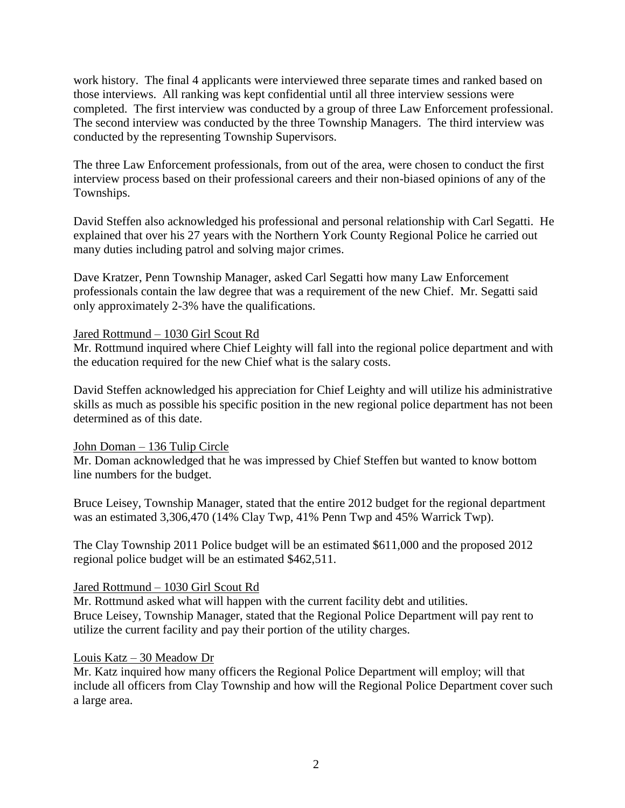work history. The final 4 applicants were interviewed three separate times and ranked based on those interviews. All ranking was kept confidential until all three interview sessions were completed. The first interview was conducted by a group of three Law Enforcement professional. The second interview was conducted by the three Township Managers. The third interview was conducted by the representing Township Supervisors.

The three Law Enforcement professionals, from out of the area, were chosen to conduct the first interview process based on their professional careers and their non-biased opinions of any of the Townships.

David Steffen also acknowledged his professional and personal relationship with Carl Segatti. He explained that over his 27 years with the Northern York County Regional Police he carried out many duties including patrol and solving major crimes.

Dave Kratzer, Penn Township Manager, asked Carl Segatti how many Law Enforcement professionals contain the law degree that was a requirement of the new Chief. Mr. Segatti said only approximately 2-3% have the qualifications.

# Jared Rottmund – 1030 Girl Scout Rd

Mr. Rottmund inquired where Chief Leighty will fall into the regional police department and with the education required for the new Chief what is the salary costs.

David Steffen acknowledged his appreciation for Chief Leighty and will utilize his administrative skills as much as possible his specific position in the new regional police department has not been determined as of this date.

# John Doman – 136 Tulip Circle

Mr. Doman acknowledged that he was impressed by Chief Steffen but wanted to know bottom line numbers for the budget.

Bruce Leisey, Township Manager, stated that the entire 2012 budget for the regional department was an estimated 3,306,470 (14% Clay Twp, 41% Penn Twp and 45% Warrick Twp).

The Clay Township 2011 Police budget will be an estimated \$611,000 and the proposed 2012 regional police budget will be an estimated \$462,511.

# Jared Rottmund – 1030 Girl Scout Rd

Mr. Rottmund asked what will happen with the current facility debt and utilities. Bruce Leisey, Township Manager, stated that the Regional Police Department will pay rent to utilize the current facility and pay their portion of the utility charges.

# Louis Katz – 30 Meadow Dr

Mr. Katz inquired how many officers the Regional Police Department will employ; will that include all officers from Clay Township and how will the Regional Police Department cover such a large area.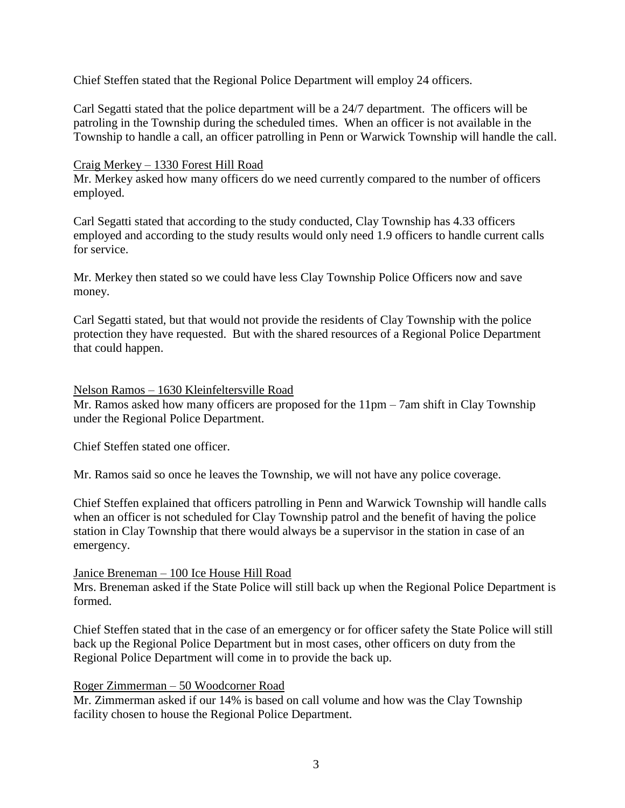Chief Steffen stated that the Regional Police Department will employ 24 officers.

Carl Segatti stated that the police department will be a 24/7 department. The officers will be patroling in the Township during the scheduled times. When an officer is not available in the Township to handle a call, an officer patrolling in Penn or Warwick Township will handle the call.

# Craig Merkey – 1330 Forest Hill Road

Mr. Merkey asked how many officers do we need currently compared to the number of officers employed.

Carl Segatti stated that according to the study conducted, Clay Township has 4.33 officers employed and according to the study results would only need 1.9 officers to handle current calls for service.

Mr. Merkey then stated so we could have less Clay Township Police Officers now and save money.

Carl Segatti stated, but that would not provide the residents of Clay Township with the police protection they have requested. But with the shared resources of a Regional Police Department that could happen.

# Nelson Ramos – 1630 Kleinfeltersville Road

Mr. Ramos asked how many officers are proposed for the 11pm – 7am shift in Clay Township under the Regional Police Department.

Chief Steffen stated one officer.

Mr. Ramos said so once he leaves the Township, we will not have any police coverage.

Chief Steffen explained that officers patrolling in Penn and Warwick Township will handle calls when an officer is not scheduled for Clay Township patrol and the benefit of having the police station in Clay Township that there would always be a supervisor in the station in case of an emergency.

# Janice Breneman – 100 Ice House Hill Road

Mrs. Breneman asked if the State Police will still back up when the Regional Police Department is formed.

Chief Steffen stated that in the case of an emergency or for officer safety the State Police will still back up the Regional Police Department but in most cases, other officers on duty from the Regional Police Department will come in to provide the back up.

# Roger Zimmerman – 50 Woodcorner Road

Mr. Zimmerman asked if our 14% is based on call volume and how was the Clay Township facility chosen to house the Regional Police Department.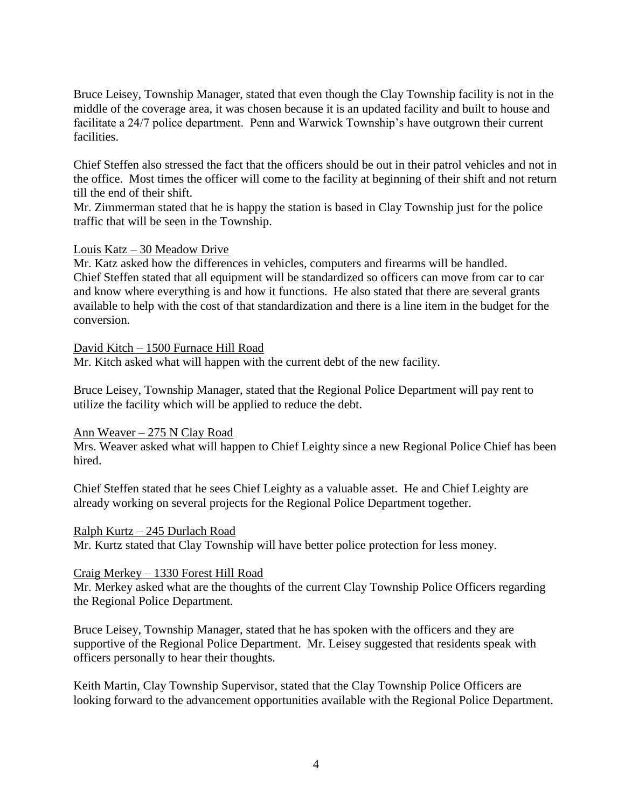Bruce Leisey, Township Manager, stated that even though the Clay Township facility is not in the middle of the coverage area, it was chosen because it is an updated facility and built to house and facilitate a 24/7 police department. Penn and Warwick Township's have outgrown their current facilities.

Chief Steffen also stressed the fact that the officers should be out in their patrol vehicles and not in the office. Most times the officer will come to the facility at beginning of their shift and not return till the end of their shift.

Mr. Zimmerman stated that he is happy the station is based in Clay Township just for the police traffic that will be seen in the Township.

# Louis Katz – 30 Meadow Drive

Mr. Katz asked how the differences in vehicles, computers and firearms will be handled. Chief Steffen stated that all equipment will be standardized so officers can move from car to car and know where everything is and how it functions. He also stated that there are several grants available to help with the cost of that standardization and there is a line item in the budget for the conversion.

# David Kitch – 1500 Furnace Hill Road

Mr. Kitch asked what will happen with the current debt of the new facility.

Bruce Leisey, Township Manager, stated that the Regional Police Department will pay rent to utilize the facility which will be applied to reduce the debt.

# Ann Weaver – 275 N Clay Road

Mrs. Weaver asked what will happen to Chief Leighty since a new Regional Police Chief has been hired.

Chief Steffen stated that he sees Chief Leighty as a valuable asset. He and Chief Leighty are already working on several projects for the Regional Police Department together.

# Ralph Kurtz – 245 Durlach Road

Mr. Kurtz stated that Clay Township will have better police protection for less money.

# Craig Merkey – 1330 Forest Hill Road

Mr. Merkey asked what are the thoughts of the current Clay Township Police Officers regarding the Regional Police Department.

Bruce Leisey, Township Manager, stated that he has spoken with the officers and they are supportive of the Regional Police Department. Mr. Leisey suggested that residents speak with officers personally to hear their thoughts.

Keith Martin, Clay Township Supervisor, stated that the Clay Township Police Officers are looking forward to the advancement opportunities available with the Regional Police Department.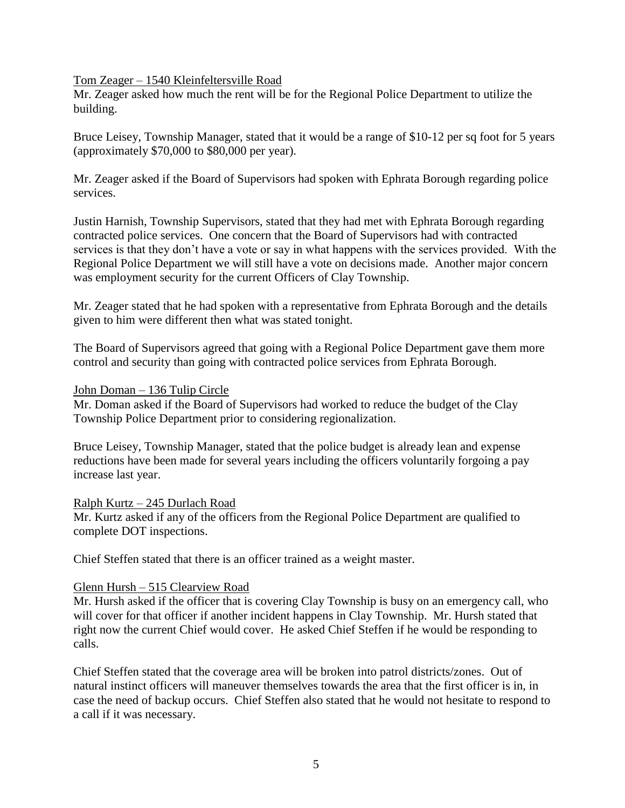#### Tom Zeager – 1540 Kleinfeltersville Road

Mr. Zeager asked how much the rent will be for the Regional Police Department to utilize the building.

Bruce Leisey, Township Manager, stated that it would be a range of \$10-12 per sq foot for 5 years (approximately \$70,000 to \$80,000 per year).

Mr. Zeager asked if the Board of Supervisors had spoken with Ephrata Borough regarding police services.

Justin Harnish, Township Supervisors, stated that they had met with Ephrata Borough regarding contracted police services. One concern that the Board of Supervisors had with contracted services is that they don't have a vote or say in what happens with the services provided. With the Regional Police Department we will still have a vote on decisions made. Another major concern was employment security for the current Officers of Clay Township.

Mr. Zeager stated that he had spoken with a representative from Ephrata Borough and the details given to him were different then what was stated tonight.

The Board of Supervisors agreed that going with a Regional Police Department gave them more control and security than going with contracted police services from Ephrata Borough.

#### John Doman – 136 Tulip Circle

Mr. Doman asked if the Board of Supervisors had worked to reduce the budget of the Clay Township Police Department prior to considering regionalization.

Bruce Leisey, Township Manager, stated that the police budget is already lean and expense reductions have been made for several years including the officers voluntarily forgoing a pay increase last year.

# Ralph Kurtz – 245 Durlach Road

Mr. Kurtz asked if any of the officers from the Regional Police Department are qualified to complete DOT inspections.

Chief Steffen stated that there is an officer trained as a weight master.

# Glenn Hursh – 515 Clearview Road

Mr. Hursh asked if the officer that is covering Clay Township is busy on an emergency call, who will cover for that officer if another incident happens in Clay Township. Mr. Hursh stated that right now the current Chief would cover. He asked Chief Steffen if he would be responding to calls.

Chief Steffen stated that the coverage area will be broken into patrol districts/zones. Out of natural instinct officers will maneuver themselves towards the area that the first officer is in, in case the need of backup occurs. Chief Steffen also stated that he would not hesitate to respond to a call if it was necessary.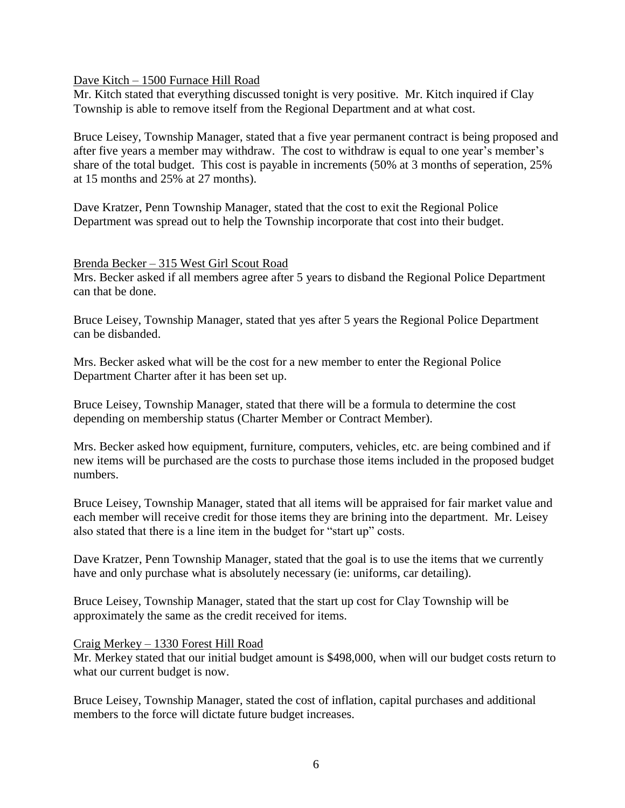Dave Kitch – 1500 Furnace Hill Road

Mr. Kitch stated that everything discussed tonight is very positive. Mr. Kitch inquired if Clay Township is able to remove itself from the Regional Department and at what cost.

Bruce Leisey, Township Manager, stated that a five year permanent contract is being proposed and after five years a member may withdraw. The cost to withdraw is equal to one year's member's share of the total budget. This cost is payable in increments (50% at 3 months of seperation, 25% at 15 months and 25% at 27 months).

Dave Kratzer, Penn Township Manager, stated that the cost to exit the Regional Police Department was spread out to help the Township incorporate that cost into their budget.

# Brenda Becker – 315 West Girl Scout Road

Mrs. Becker asked if all members agree after 5 years to disband the Regional Police Department can that be done.

Bruce Leisey, Township Manager, stated that yes after 5 years the Regional Police Department can be disbanded.

Mrs. Becker asked what will be the cost for a new member to enter the Regional Police Department Charter after it has been set up.

Bruce Leisey, Township Manager, stated that there will be a formula to determine the cost depending on membership status (Charter Member or Contract Member).

Mrs. Becker asked how equipment, furniture, computers, vehicles, etc. are being combined and if new items will be purchased are the costs to purchase those items included in the proposed budget numbers.

Bruce Leisey, Township Manager, stated that all items will be appraised for fair market value and each member will receive credit for those items they are brining into the department. Mr. Leisey also stated that there is a line item in the budget for "start up" costs.

Dave Kratzer, Penn Township Manager, stated that the goal is to use the items that we currently have and only purchase what is absolutely necessary (ie: uniforms, car detailing).

Bruce Leisey, Township Manager, stated that the start up cost for Clay Township will be approximately the same as the credit received for items.

# Craig Merkey – 1330 Forest Hill Road

Mr. Merkey stated that our initial budget amount is \$498,000, when will our budget costs return to what our current budget is now.

Bruce Leisey, Township Manager, stated the cost of inflation, capital purchases and additional members to the force will dictate future budget increases.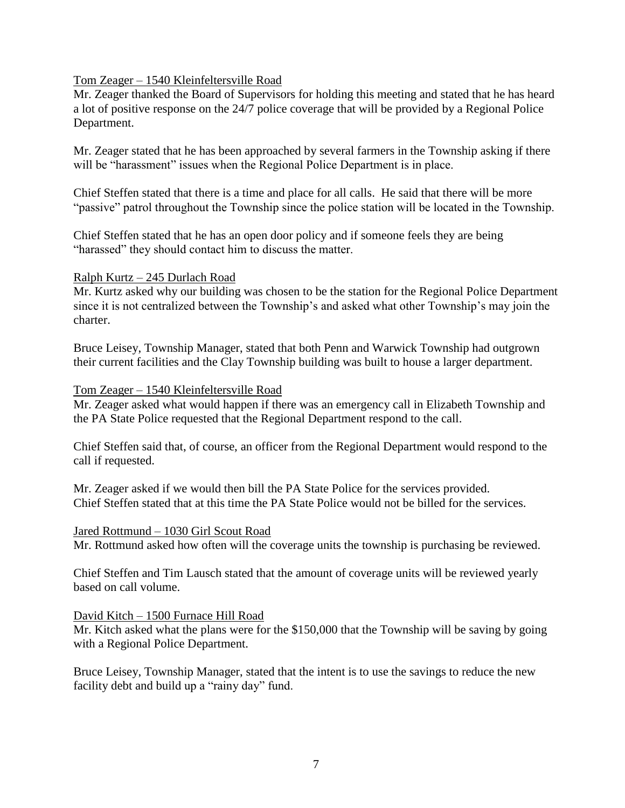# Tom Zeager – 1540 Kleinfeltersville Road

Mr. Zeager thanked the Board of Supervisors for holding this meeting and stated that he has heard a lot of positive response on the 24/7 police coverage that will be provided by a Regional Police Department.

Mr. Zeager stated that he has been approached by several farmers in the Township asking if there will be "harassment" issues when the Regional Police Department is in place.

Chief Steffen stated that there is a time and place for all calls. He said that there will be more "passive" patrol throughout the Township since the police station will be located in the Township.

Chief Steffen stated that he has an open door policy and if someone feels they are being "harassed" they should contact him to discuss the matter.

#### Ralph Kurtz – 245 Durlach Road

Mr. Kurtz asked why our building was chosen to be the station for the Regional Police Department since it is not centralized between the Township's and asked what other Township's may join the charter.

Bruce Leisey, Township Manager, stated that both Penn and Warwick Township had outgrown their current facilities and the Clay Township building was built to house a larger department.

# Tom Zeager – 1540 Kleinfeltersville Road

Mr. Zeager asked what would happen if there was an emergency call in Elizabeth Township and the PA State Police requested that the Regional Department respond to the call.

Chief Steffen said that, of course, an officer from the Regional Department would respond to the call if requested.

Mr. Zeager asked if we would then bill the PA State Police for the services provided. Chief Steffen stated that at this time the PA State Police would not be billed for the services.

#### Jared Rottmund – 1030 Girl Scout Road

Mr. Rottmund asked how often will the coverage units the township is purchasing be reviewed.

Chief Steffen and Tim Lausch stated that the amount of coverage units will be reviewed yearly based on call volume.

#### David Kitch – 1500 Furnace Hill Road

Mr. Kitch asked what the plans were for the \$150,000 that the Township will be saving by going with a Regional Police Department.

Bruce Leisey, Township Manager, stated that the intent is to use the savings to reduce the new facility debt and build up a "rainy day" fund.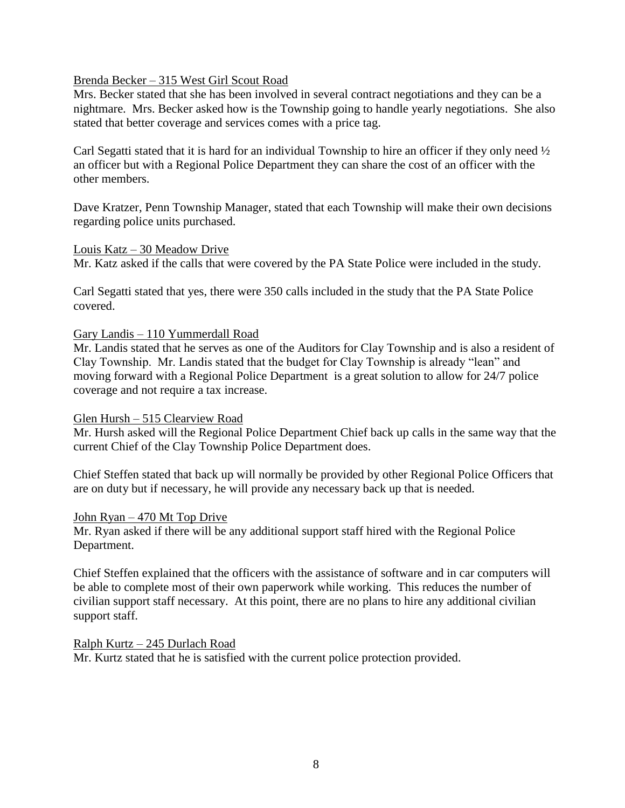Brenda Becker – 315 West Girl Scout Road

Mrs. Becker stated that she has been involved in several contract negotiations and they can be a nightmare. Mrs. Becker asked how is the Township going to handle yearly negotiations. She also stated that better coverage and services comes with a price tag.

Carl Segatti stated that it is hard for an individual Township to hire an officer if they only need ½ an officer but with a Regional Police Department they can share the cost of an officer with the other members.

Dave Kratzer, Penn Township Manager, stated that each Township will make their own decisions regarding police units purchased.

#### Louis Katz – 30 Meadow Drive

Mr. Katz asked if the calls that were covered by the PA State Police were included in the study.

Carl Segatti stated that yes, there were 350 calls included in the study that the PA State Police covered.

Gary Landis – 110 Yummerdall Road

Mr. Landis stated that he serves as one of the Auditors for Clay Township and is also a resident of Clay Township. Mr. Landis stated that the budget for Clay Township is already "lean" and moving forward with a Regional Police Department is a great solution to allow for 24/7 police coverage and not require a tax increase.

#### Glen Hursh – 515 Clearview Road

Mr. Hursh asked will the Regional Police Department Chief back up calls in the same way that the current Chief of the Clay Township Police Department does.

Chief Steffen stated that back up will normally be provided by other Regional Police Officers that are on duty but if necessary, he will provide any necessary back up that is needed.

#### John Ryan – 470 Mt Top Drive

Mr. Ryan asked if there will be any additional support staff hired with the Regional Police Department.

Chief Steffen explained that the officers with the assistance of software and in car computers will be able to complete most of their own paperwork while working. This reduces the number of civilian support staff necessary. At this point, there are no plans to hire any additional civilian support staff.

#### Ralph Kurtz – 245 Durlach Road

Mr. Kurtz stated that he is satisfied with the current police protection provided.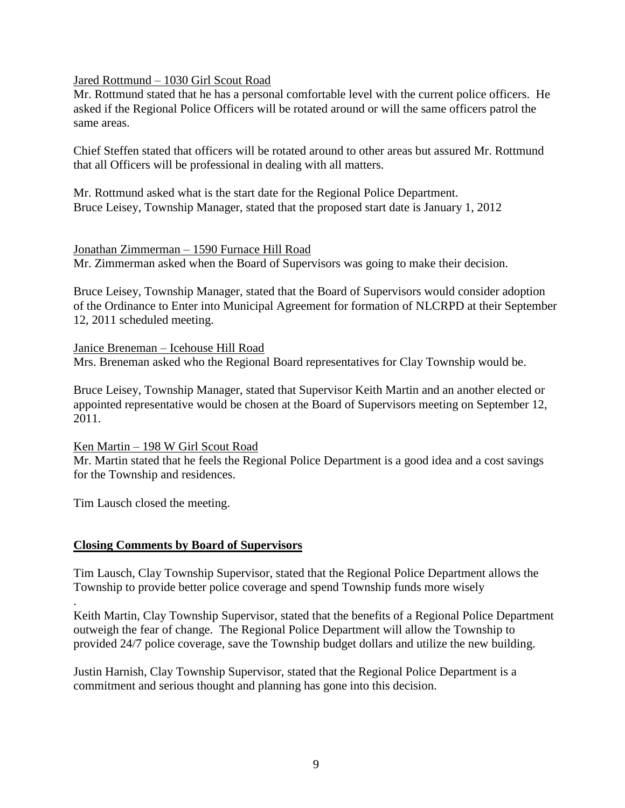Jared Rottmund – 1030 Girl Scout Road

Mr. Rottmund stated that he has a personal comfortable level with the current police officers. He asked if the Regional Police Officers will be rotated around or will the same officers patrol the same areas.

Chief Steffen stated that officers will be rotated around to other areas but assured Mr. Rottmund that all Officers will be professional in dealing with all matters.

Mr. Rottmund asked what is the start date for the Regional Police Department. Bruce Leisey, Township Manager, stated that the proposed start date is January 1, 2012

# Jonathan Zimmerman – 1590 Furnace Hill Road

Mr. Zimmerman asked when the Board of Supervisors was going to make their decision.

Bruce Leisey, Township Manager, stated that the Board of Supervisors would consider adoption of the Ordinance to Enter into Municipal Agreement for formation of NLCRPD at their September 12, 2011 scheduled meeting.

Janice Breneman – Icehouse Hill Road Mrs. Breneman asked who the Regional Board representatives for Clay Township would be.

Bruce Leisey, Township Manager, stated that Supervisor Keith Martin and an another elected or appointed representative would be chosen at the Board of Supervisors meeting on September 12, 2011.

Ken Martin – 198 W Girl Scout Road

Mr. Martin stated that he feels the Regional Police Department is a good idea and a cost savings for the Township and residences.

Tim Lausch closed the meeting.

.

# **Closing Comments by Board of Supervisors**

Tim Lausch, Clay Township Supervisor, stated that the Regional Police Department allows the Township to provide better police coverage and spend Township funds more wisely

Keith Martin, Clay Township Supervisor, stated that the benefits of a Regional Police Department outweigh the fear of change. The Regional Police Department will allow the Township to provided 24/7 police coverage, save the Township budget dollars and utilize the new building.

Justin Harnish, Clay Township Supervisor, stated that the Regional Police Department is a commitment and serious thought and planning has gone into this decision.